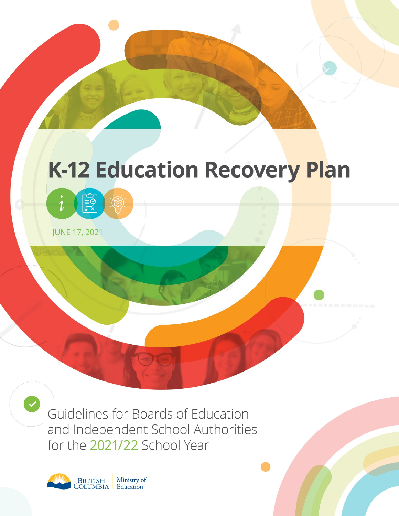# **K-12 Education Recovery Plan**

framw



JUNE 17, 2021

Guidelines for Boards of Education and Independent School Authorities for the 2021/22 School Year

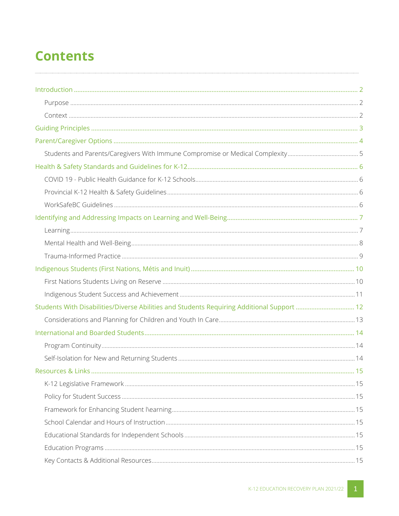### **Contents**

<span id="page-1-0"></span>

| Students With Disabilities/Diverse Abilities and Students Requiring Additional Support  12 |  |
|--------------------------------------------------------------------------------------------|--|
|                                                                                            |  |
|                                                                                            |  |
|                                                                                            |  |
|                                                                                            |  |
|                                                                                            |  |
|                                                                                            |  |
|                                                                                            |  |
|                                                                                            |  |
|                                                                                            |  |
|                                                                                            |  |
|                                                                                            |  |
|                                                                                            |  |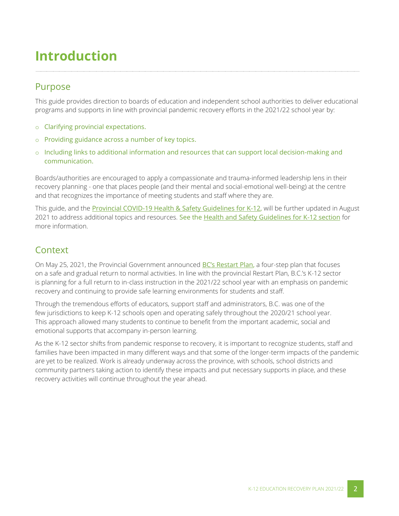### <span id="page-2-0"></span>**Introduction**

#### Purpose

This guide provides direction to boards of education and independent school authorities to deliver educational programs and supports in line with provincial pandemic recovery efforts in the 2021/22 school year by:

- o Clarifying provincial expectations.
- o Providing guidance across a number of key topics.
- o Including links to additional information and resources that can support local decision-making and communication.

Boards/authorities are encouraged to apply a compassionate and trauma-informed leadership lens in their recovery planning - one that places people (and their mental and social-emotional well-being) at the centre and that recognizes the importance of meeting students and staff where they are.

This guide, and the **Provincial COVID-19 Health & Safety Guidelines for K-12**, will be further updated in August 2021 to address additional topics and resources. [See the Health and Safety Guidelines for K-12 section](#page-6-0) for more information.

#### <span id="page-2-1"></span>**Context**

On May 25, 2021, the Provincial Government announced [BC's Restart Plan](https://www2.gov.bc.ca/gov/content/covid-19/info/restart), a four-step plan that focuses on a safe and gradual return to normal activities. In line with the provincial Restart Plan, B.C.'s K-12 sector is planning for a full return to in-class instruction in the 2021/22 school year with an emphasis on pandemic recovery and continuing to provide safe learning environments for students and staff.

Through the tremendous efforts of educators, support staff and administrators, B.C. was one of the few jurisdictions to keep K-12 schools open and operating safely throughout the 2020/21 school year. This approach allowed many students to continue to benefit from the important academic, social and emotional supports that accompany in-person learning.

As the K-12 sector shifts from pandemic response to recovery, it is important to recognize students, staff and families have been impacted in many different ways and that some of the longer-term impacts of the pandemic are yet to be realized. Work is already underway across the province, with schools, school districts and community partners taking action to identify these impacts and put necessary supports in place, and these recovery activities will continue throughout the year ahead.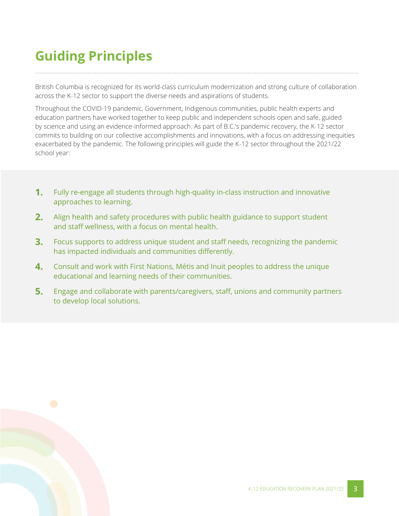## <span id="page-3-0"></span>**Guiding Principles**

British Columbia is recognized for its world-class curriculum modernization and strong culture of collaboration across the K-12 sector to support the diverse needs and aspirations of students.

Throughout the COVID-19 pandemic, Government, Indigenous communities, public health experts and education partners have worked together to keep public and independent schools open and safe, guided by science and using an evidence-informed approach. As part of B.C.'s pandemic recovery, the K-12 sector commits to building on our collective accomplishments and innovations, with a focus on addressing inequities exacerbated by the pandemic. The following principles will guide the K-12 sector throughout the 2021/22 school year:

- **1.** Fully re-engage all students through high-quality in-class instruction and innovative approaches to learning.
- **2.** Align health and safety procedures with public health guidance to support student and staff wellness, with a focus on mental health.
- **3.** Focus supports to address unique student and staff needs, recognizing the pandemic has impacted individuals and communities differently.
- **4.** Consult and work with First Nations, Métis and Inuit peoples to address the unique educational and learning needs of their communities.
- **5.** Engage and collaborate with parents/caregivers, staff, unions and community partners to develop local solutions.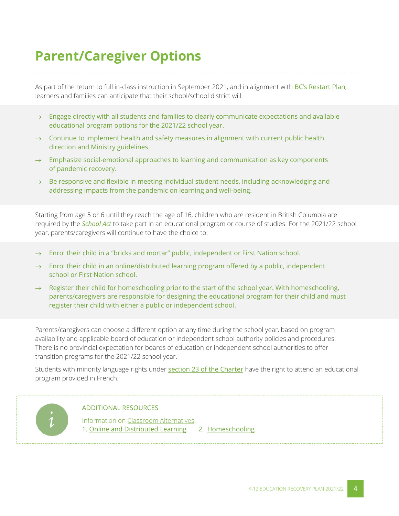### **Parent/Caregiver Options**

<span id="page-4-0"></span>As part of the return to full in-class instruction in September 2021, and in alignment with **[BC's Restart Plan](https://www2.gov.bc.ca/gov/content/covid-19/info/restart)**, learners and families can anticipate that their school/school district will:

- $\rightarrow$  Engage directly with all students and families to clearly communicate expectations and available educational program options for the 2021/22 school year.
- $\rightarrow$  Continue to implement health and safety measures in alignment with current public health direction and Ministry guidelines.
- $\rightarrow$  Emphasize social-emotional approaches to learning and communication as key components of pandemic recovery.
- $\rightarrow$  Be responsive and flexible in meeting individual student needs, including acknowledging and addressing impacts from the pandemic on learning and well-being.

Starting from age 5 or 6 until they reach the age of 16, children who are resident in British Columbia are required by the *[School Act](https://www.bclaws.gov.bc.ca/civix/document/id/complete/statreg/96412_00)* to take part in an educational program or course of studies. For the 2021/22 school year, parents/caregivers will continue to have the choice to:

- Enrol their child in a "bricks and mortar" public, independent or First Nation school.
- Enrol their child in an online/distributed learning program offered by a public, independent school or First Nation school.
- $\rightarrow$  Register their child for homeschooling prior to the start of the school year. With homeschooling, parents/caregivers are responsible for designing the educational program for their child and must register their child with either a public or independent school.

Parents/caregivers can choose a different option at any time during the school year, based on program availability and applicable board of education or independent school authority policies and procedures. There is no provincial expectation for boards of education or independent school authorities to offer transition programs for the 2021/22 school year.

Students with minority language rights under [section 23 of the Charter](https://www.justice.gc.ca/eng/csj-sjc/rfc-dlc/ccrf-ccdl/check/art23.html) have the right to attend an educational program provided in French.



#### ADDITIONAL RESOURCES

Information on [Classroom Alternatives:](https://www2.gov.bc.ca/gov/content/education-training/k-12/support/classroom-alternatives)  1. Online [and Distributed](https://www2.gov.bc.ca/gov/content/education-training/k-12/support/classroom-alternatives/online-distributed-learning) Learning 2. [Homeschooling](https://www2.gov.bc.ca/gov/content/education-training/k-12/support/classroom-alternatives/homeschooling)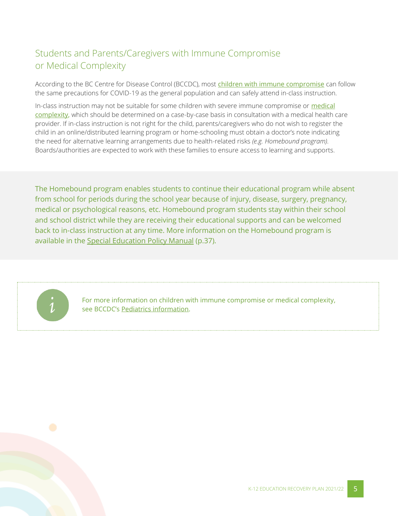### <span id="page-5-0"></span>Students and Parents/Caregivers with Immune Compromise or Medical Complexity

According to the BC Centre for Disease Control (BCCDC), most [children with immune compromise](http://www.bccdc.ca/health-info/diseases-conditions/covid-19/covid-19-and-children/children-with-immune-compromise) can follow the same precautions for COVID-19 as the general population and can safely attend in-class instruction.

In-class instruction may not be suitable for some children with severe immune compromise or medical [complexity,](http://www.bccdc.ca/Health-Professionals-Site/Documents/Children_medical%20complexity.pdf) which should be determined on a case-by-case basis in consultation with a medical health care provider. If in-class instruction is not right for the child, parents/caregivers who do not wish to register the child in an online/distributed learning program or home-schooling must obtain a doctor's note indicating the need for alternative learning arrangements due to health-related risks *(e.g. Homebound program).*  Boards/authorities are expected to work with these families to ensure access to learning and supports.

The Homebound program enables students to continue their educational program while absent from school for periods during the school year because of injury, disease, surgery, pregnancy, medical or psychological reasons, etc. Homebound program students stay within their school and school district while they are receiving their educational supports and can be welcomed back to in-class instruction at any time. More information on the Homebound program is available in the [Special Education Policy Manual](https://www2.gov.bc.ca/assets/gov/education/administration/kindergarten-to-grade-12/inclusive/special_ed_policy_manual.pdf) (p.37).



For more information on children with immune compromise or medical complexity, see BCCDC's [Pediatrics information.](http://www.bccdc.ca/health-professionals/clinical-resources/covid-19-care/clinical-care/pediatrics)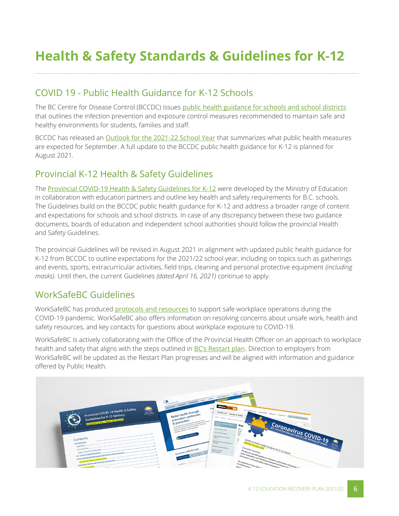### <span id="page-6-0"></span>**Health & Safety Standards & Guidelines for K-12**

#### <span id="page-6-1"></span>COVID 19 - Public Health Guidance for K-12 Schools

The BC Centre for Disease Control (BCCDC) issues [public health guidance for schools and school districts](http://www.bccdc.ca/Health-Info-Site/Documents/COVID_public_guidance/Guidance-k-12-schools.pdf) that outlines the infection prevention and exposure control measures recommended to maintain safe and healthy environments for students, families and staff.

BCCDC has released an [Outlook for the 2021-22 School Year](http://www.bccdc.ca/Health-Info-Site/Documents/COVID_public_guidance/Schools_Outlook.pdf) that summarizes what public health measures are expected for September. A full update to the BCCDC public health guidance for K-12 is planned for August 2021.

#### <span id="page-6-2"></span>Provincial K-12 Health & Safety Guidelines

The **[Provincial COVID-19 Health &](https://www2.gov.bc.ca/assets/gov/education/administration/kindergarten-to-grade-12/safe-caring-orderly/k-12-covid-19-health-safety-guidlines.pdf) Safety Guidelines for K-12** were developed by the Ministry of Education in collaboration with education partners and outline key health and safety requirements for B.C. schools. The Guidelines build on the BCCDC public health guidance for K-12 and address a broader range of content and expectations for schools and school districts. In case of any discrepancy between these two guidance documents, boards of education and independent school authorities should follow the provincial Health and Safety Guidelines.

<span id="page-6-3"></span>The provincial Guidelines will be revised in August 2021 in alignment with updated public health guidance for K-12 from BCCDC to outline expectations for the 2021/22 school year, including on topics such as gatherings and events, sports, extracurricular activities, field trips, cleaning and personal protective equipment *(including masks).* Until then, the current Guidelines *(dated April 16, 2021)* continue to apply.

#### WorkSafeBC Guidelines

WorkSafeBC has produced [protocols and resources](https://www.worksafebc.com/en/covid-19) to support safe workplace operations during the COVID-19 pandemic. WorkSafeBC also offers information on resolving concerns about unsafe work, health and safety resources, and key contacts for questions about workplace exposure to COVID-19.

WorkSafeBC is actively collaborating with the Office of the Provincial Health Officer on an approach to workplace health and safety that aligns with the steps outlined in [BC's Restart plan](https://www2.gov.bc.ca/gov/content/covid-19/info/restart). Direction to employers from WorkSafeBC will be updated as the Restart Plan progresses and will be aligned with information and guidance offered by Public Health.

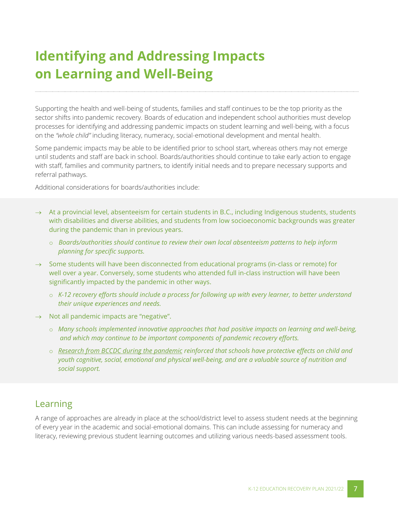### <span id="page-7-0"></span>**Identifying and Addressing Impacts on Learning and Well-Being**

Supporting the health and well-being of students, families and staff continues to be the top priority as the sector shifts into pandemic recovery. Boards of education and independent school authorities must develop processes for identifying and addressing pandemic impacts on student learning and well-being, with a focus on the *"whole child"* including literacy, numeracy, social-emotional development and mental health.

Some pandemic impacts may be able to be identified prior to school start, whereas others may not emerge until students and staff are back in school. Boards/authorities should continue to take early action to engage with staff, families and community partners, to identify initial needs and to prepare necessary supports and referral pathways.

Additional considerations for boards/authorities include:

- $\rightarrow$  At a provincial level, absenteeism for certain students in B.C., including Indigenous students, students with disabilities and diverse abilities, and students from low socioeconomic backgrounds was greater during the pandemic than in previous years.
	- o *Boards/authorities should continue to review their own local absenteeism patterns to help inform planning for specific supports.*
- $\rightarrow$  Some students will have been disconnected from educational programs (in-class or remote) for well over a year. Conversely, some students who attended full in-class instruction will have been significantly impacted by the pandemic in other ways.
	- o *K-12 recovery efforts should include a process for following up with every learner, to better understand their unique experiences and needs.*
- $\rightarrow$  Not all pandemic impacts are "negative".
	- o *Many schools implemented innovative approaches that had positive impacts on learning and well-being, and which may continue to be important components of pandemic recovery efforts.*
	- o *[Research from BCCDC during the pandemic](http://www.bccdc.ca/Health-Info-Site/Documents/Public_health_COVID-19_reports/Impact_School_Closures_COVID-19.pdf) reinforced that schools have protective effects on child and youth cognitive, social, emotional and physical well-being, and are a valuable source of nutrition and social support.*

#### <span id="page-7-1"></span>Learning

A range of approaches are already in place at the school/district level to assess student needs at the beginning of every year in the academic and social-emotional domains. This can include assessing for numeracy and literacy, reviewing previous student learning outcomes and utilizing various needs-based assessment tools.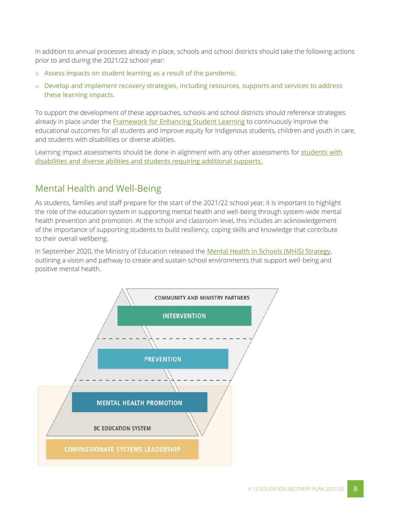In addition to annual processes already in place, schools and school districts should take the following actions prior to and during the 2021/22 school year:

- o Assess impacts on student learning as a result of the pandemic.
- o Develop and implement recovery strategies, including resources, supports and services to address these learning impacts.

To support the development of these approaches, schools and school districts should reference strategies already in place under the **[Framework for Enhancing Student Learning](https://www2.gov.bc.ca/gov/content/education-training/k-12/administration/legislation-policy/public-schools/framework)** to continuously improve the educational outcomes for all students and improve equity for Indigenous students, children and youth in care, and students with disabilities or diverse abilities.

Learning impact assessments should be done in alignment with any other assessments for students with [disabilities and diverse abilities and students requiring additional supports.](#page-12-0)

#### <span id="page-8-0"></span>Mental Health and Well-Being

As students, families and staff prepare for the start of the 2021/22 school year, it is important to highlight the role of the education system in supporting mental health and well-being through system-wide mental health prevention and promotion. At the school and classroom level, this includes an acknowledgement of the importance of supporting students to build resiliency, coping skills and knowledge that contribute to their overall wellbeing.

In September 2020, the Ministry of Education released the [Mental Health in Schools \(MHiS\) Strategy,](https://www2.gov.bc.ca/assets/gov/erase/documents/mental-health-wellness/mhis-strategy.pdf) outlining a vision and pathway to create and sustain school environments that support well-being and positive mental health.

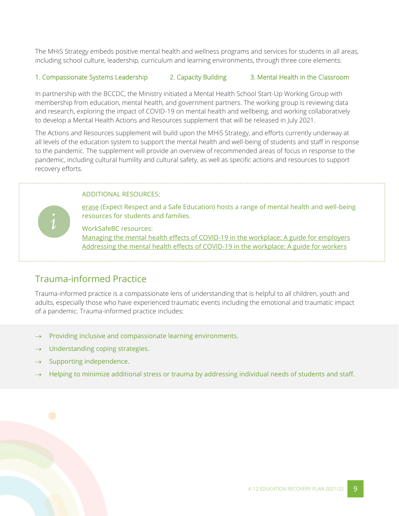The MHiS Strategy embeds positive mental health and wellness programs and services for students in all areas, including school culture, leadership, curriculum and learning environments, through three core elements:

#### 1. Compassionate Systems Leadership 2. Capacity Building 3. Mental Health in the Classroom

In partnership with the BCCDC, the Ministry initiated a Mental Health School Start-Up Working Group with membership from education, mental health, and government partners. The working group is reviewing data and research, exploring the impact of COVID-19 on mental health and wellbeing, and working collaboratively to develop a Mental Health Actions and Resources supplement that will be released in July 2021.

The Actions and Resources supplement will build upon the MHiS Strategy, and efforts currently underway at all levels of the education system to support the mental health and well-being of students and staff in response to the pandemic. The supplement will provide an overview of recommended areas of focus in response to the pandemic, including cultural humility and cultural safety, as well as specific actions and resources to support recovery efforts.

#### ADDITIONAL RESOURCES:

[erase](https://www2.gov.bc.ca/gov/content/erase/mental-health) (Expect Respect and a Safe Education) hosts a range of mental health and well-being resources for students and families.

WorkSafeBC resources: [Managing the mental health effects of COVID-19 in the workplace:](https://can01.safelinks.protection.outlook.com/?url=https%3A%2F%2Fwww.worksafebc.com%2Fen%2Fresources%2Fhealth-safety%2Fbooks-guides%2Fmanaging-mental-health-effects-covid-19-guide-for-employers%3Flang%3Den%26origin%3Ds%26returnurl%3Dhttps%253A%252F%252Fwww.worksafebc.com%252Fen%252Fforms-resources%2523sort%253DDate%2526q%253Dmental%252520health%2526f%253Atopic-facet%253D%255BHealth%252520%252526%252520Safety%255D%2526f%253Atopic-health-safety-facet%253D%255BCOVID-19%255D%2526f%253Alanguage-facet%253D%255BEnglish%255D&data=04%7C01%7CScott.Beddall%40gov.bc.ca%7C460427996d4f4fb466d308d927a7dd15%7C6fdb52003d0d4a8ab036d3685e359adc%7C0%7C0%7C637584424184574753%7CUnknown%7CTWFpbGZsb3d8eyJWIjoiMC4wLjAwMDAiLCJQIjoiV2luMzIiLCJBTiI6Ik1haWwiLCJXVCI6Mn0%3D%7C1000&sdata=3PkPlZth7GGZUDiG0FmIgzZrpzJJZdmHs2VjdqgyGSE%3D&reserved=0) A guide for employers

[Addressing the mental health effects of COVID-19 in the workplace: A guide for workers](https://can01.safelinks.protection.outlook.com/?url=https%3A%2F%2Fwww.worksafebc.com%2Fen%2Fresources%2Fhealth-safety%2Fbooks-guides%2Faddressing-mental-health-effects-covid-19-guide-for-workers%3Flang%3Den%26origin%3Ds%26returnurl%3Dhttps%253A%252F%252Fwww.worksafebc.com%252Fen%252Fforms-resources%2523sort%253DDate%2526q%253Dmental%252520health%2526f%253Atopic-facet%253D%255BHealth%252520%252526%252520Safety%255D%2526f%253Atopic-health-safety-facet%253D%255BCOVID-19%255D%2526f%253Alanguage-facet%253D%255BEnglish%255D&data=04%7C01%7CScott.Beddall%40gov.bc.ca%7C460427996d4f4fb466d308d927a7dd15%7C6fdb52003d0d4a8ab036d3685e359adc%7C0%7C0%7C637584424184584745%7CUnknown%7CTWFpbGZsb3d8eyJWIjoiMC4wLjAwMDAiLCJQIjoiV2luMzIiLCJBTiI6Ik1haWwiLCJXVCI6Mn0%3D%7C1000&sdata=TbSw8JYCH4YRGm57JUB1GvF%2Fm2us59003vgrRdeuLdY%3D&reserved=0)

#### <span id="page-9-0"></span>Trauma-informed Practice

Trauma-informed practice is a compassionate lens of understanding that is helpful to all children, youth and adults, especially those who have experienced traumatic events including the emotional and traumatic impact of a pandemic. Trauma-informed practice includes:

- $\rightarrow$  Providing inclusive and compassionate learning environments.
- Understanding coping strategies.
- $\rightarrow$  Supporting independence.
- Helping to minimize additional stress or trauma by addressing individual needs of students and staff.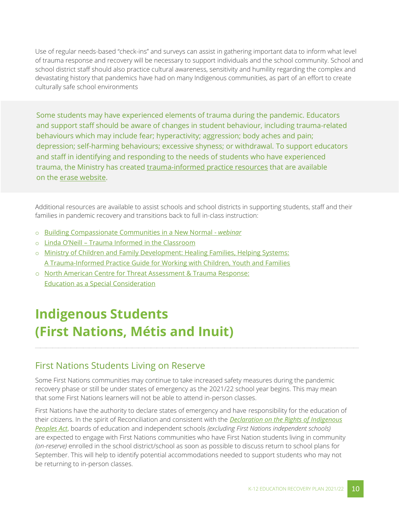Use of regular needs-based "check-ins" and surveys can assist in gathering important data to inform what level of trauma response and recovery will be necessary to support individuals and the school community. School and school district staff should also practice cultural awareness, sensitivity and humility regarding the complex and devastating history that pandemics have had on many Indigenous communities, as part of an effort to create culturally safe school environments

Some students may have experienced elements of trauma during the pandemic. Educators and support staff should be aware of changes in student behaviour, including trauma-related behaviours which may include fear; hyperactivity; aggression; body aches and pain; depression; self-harming behaviours; excessive shyness; or withdrawal. To support educators and staff in identifying and responding to the needs of students who have experienced trauma, the Ministry has created [trauma-informed practice resources](https://mytrainingbc.ca/traumainformedpractice/) that are available on the [erase website.](http://erase.gov.bc.ca/)

Additional resources are available to assist schools and school districts in supporting students, staff and their families in pandemic recovery and transitions back to full in-class instruction:

- o [Building Compassionate Communities in a New Normal -](https://www.openschool.bc.ca/compassionatecommunities/) *webinar*
- o Linda O'Neill [Trauma Informed in the Classroom](http://web.unbc.ca/~loneill/onesheet.pdf)
- o [Ministry of Children and Family Development: Healing Families, Helping Systems:](https://www2.gov.bc.ca/assets/gov/health/child-teen-mental-health/trauma-informed_practice_guide.pdf)  [A Trauma-Informed Practice Guide for Working with Children, Youth and Families](https://www2.gov.bc.ca/assets/gov/health/child-teen-mental-health/trauma-informed_practice_guide.pdf)
- o [North American Centre for Threat Assessment &](https://nactatr.com/news/files/EducationSpecialConsideration.pdf) Trauma Response: [Education as a Special Consideration](https://nactatr.com/news/files/EducationSpecialConsideration.pdf)

### <span id="page-10-0"></span>**Indigenous Students (First Nations, Métis and Inuit)**

#### <span id="page-10-1"></span>First Nations Students Living on Reserve

Some First Nations communities may continue to take increased safety measures during the pandemic recovery phase or still be under states of emergency as the 2021/22 school year begins. This may mean that some First Nations learners will not be able to attend in-person classes.

First Nations have the authority to declare states of emergency and have responsibility for the education of their citizens. In the spirit of Reconciliation and consistent with the *[Declaration on the Rights of Indigenous](https://www2.gov.bc.ca/gov/content/governments/indigenous-people/new-relationship/united-nations-declaration-on-the-rights-of-indigenous-peoples)  [Peoples Act](https://www2.gov.bc.ca/gov/content/governments/indigenous-people/new-relationship/united-nations-declaration-on-the-rights-of-indigenous-peoples)*, boards of education and independent schools *(excluding First Nations independent schools)* are expected to engage with First Nations communities who have First Nation students living in community *(on-reserve)* enrolled in the school district/school as soon as possible to discuss return to school plans for September. This will help to identify potential accommodations needed to support students who may not be returning to in-person classes.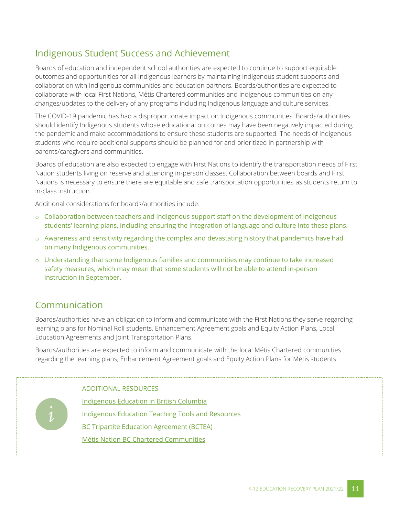#### <span id="page-11-0"></span>Indigenous Student Success and Achievement

Boards of education and independent school authorities are expected to continue to support equitable outcomes and opportunities for all Indigenous learners by maintaining Indigenous student supports and collaboration with Indigenous communities and education partners. Boards/authorities are expected to collaborate with local First Nations, Métis Chartered communities and Indigenous communities on any changes/updates to the delivery of any programs including Indigenous language and culture services.

The COVID-19 pandemic has had a disproportionate impact on Indigenous communities. Boards/authorities should identify Indigenous students whose educational outcomes may have been negatively impacted during the pandemic and make accommodations to ensure these students are supported. The needs of Indigenous students who require additional supports should be planned for and prioritized in partnership with parents/caregivers and communities.

Boards of education are also expected to engage with First Nations to identify the transportation needs of First Nation students living on reserve and attending in-person classes. Collaboration between boards and First Nations is necessary to ensure there are equitable and safe transportation opportunities as students return to in-class instruction.

Additional considerations for boards/authorities include:

- $\circ$  Collaboration between teachers and Indigenous support staff on the development of Indigenous students' learning plans, including ensuring the integration of language and culture into these plans.
- o Awareness and sensitivity regarding the complex and devastating history that pandemics have had on many Indigenous communities.
- o Understanding that some Indigenous families and communities may continue to take increased safety measures, which may mean that some students will not be able to attend in-person instruction in September.

#### Communication

Boards/authorities have an obligation to inform and communicate with the First Nations they serve regarding learning plans for Nominal Roll students, Enhancement Agreement goals and Equity Action Plans, Local Education Agreements and Joint Transportation Plans.

Boards/authorities are expected to inform and communicate with the local Métis Chartered communities regarding the learning plans, Enhancement Agreement goals and Equity Action Plans for Métis students.

ADDITIONAL RESOURCES

[Indigenous Education in British Columbia](https://www2.gov.bc.ca/gov/content?id=D6B861666B084A04BBC7E31529BB6576) [Indigenous Education Teaching Tools and Resources](https://curriculum.gov.bc.ca/curriculum/indigenous-education-resources) **[BC Tripartite Education Agreement \(BCTEA\)](http://www.fnesc.ca/bctea/)** [Métis Nation BC Chartered Communities](https://www.mnbc.ca/communities/)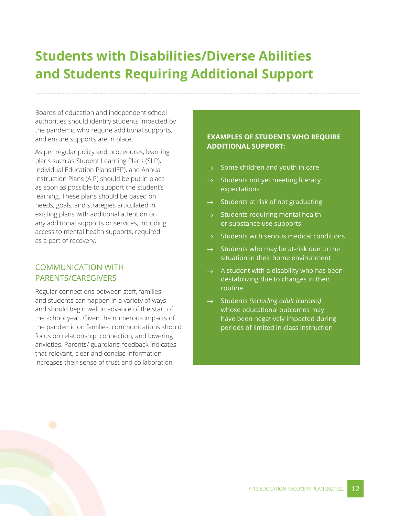### <span id="page-12-0"></span>**Students with Disabilities/Diverse Abilities and Students Requiring Additional Support**

Boards of education and independent school authorities should identify students impacted by the pandemic who require additional supports, and ensure supports are in place.

As per regular policy and procedures, learning plans such as Student Learning Plans (SLP), Individual Education Plans (IEP), and Annual Instruction Plans (AIP) should be put in place as soon as possible to support the student's learning. These plans should be based on needs, goals, and strategies articulated in existing plans with additional attention on any additional supports or services, including access to mental health supports, required as a part of recovery.

#### COMMUNICATION WITH PARENTS/CAREGIVERS

Regular connections between staff, families and students can happen in a variety of ways and should begin well in advance of the start of the school year. Given the numerous impacts of the pandemic on families, communications should focus on relationship, connection, and lowering anxieties. Parents/ guardians' feedback indicates that relevant, clear and concise information increases their sense of trust and collaboration.

#### **EXAMPLES OF STUDENTS WHO REQUIRE ADDITIONAL SUPPORT:**

- Some children and youth in care
- Students not yet meeting literacy expectations
- $\rightarrow$  Students at risk of not graduating
- $\rightarrow$  Students requiring mental health or substance use supports
- $\rightarrow$  Students with serious medical conditions
- $\rightarrow$  Students who may be at-risk due to the situation in their home environment
- $\rightarrow$  A student with a disability who has been destabilizing due to changes in their routine
- Students *(including adult learners)* whose educational outcomes may have been negatively impacted during periods of limited in-class instruction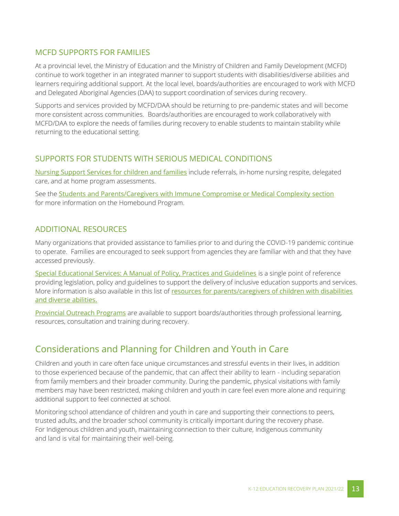#### MCFD SUPPORTS FOR FAMILIES

At a provincial level, the Ministry of Education and the Ministry of Children and Family Development (MCFD) continue to work together in an integrated manner to support students with disabilities/diverse abilities and learners requiring additional support. At the local level, boards/authorities are encouraged to work with MCFD and Delegated Aboriginal Agencies (DAA) to support coordination of services during recovery.

Supports and services provided by MCFD/DAA should be returning to pre-pandemic states and will become more consistent across communities. Boards/authorities are encouraged to work collaboratively with MCFD/DAA to explore the needs of families during recovery to enable students to maintain stability while returning to the educational setting.

#### SUPPORTS FOR STUDENTS WITH SERIOUS MEDICAL CONDITIONS

[Nursing Support Services for children and families](http://www.bcchildrens.ca/our-services/sunny-hill-health-centre/our-services/nursing-support) include referrals, in-home nursing respite, delegated care, and at home program assessments.

See the [Students and Parents/Caregivers with Immune Compromise or Medical Complexity section](#page-5-0) for more information on the Homebound Program.

#### ADDITIONAL RESOURCES

Many organizations that provided assistance to families prior to and during the COVID-19 pandemic continue to operate. Families are encouraged to seek support from agencies they are familiar with and that they have accessed previously.

[Special Educational Services: A Manual of Policy, Practices and Guidelines](https://www2.gov.bc.ca/assets/gov/education/administration/kindergarten-to-grade-12/inclusive/special_ed_policy_manual.pdf) is a single point of reference providing legislation, policy and guidelines to support the delivery of inclusive education supports and services. More information is also available in this list of resources for parents/caregivers of children with disabilities [and diverse abilities.](https://www2.gov.bc.ca/assets/download/FC08147DF5C4438F93059C8E7BFF37B0)

[Provincial Outreach Programs](https://www2.gov.bc.ca/assets/download/76D122D4D418492E8F5862566C4E0D63) are available to support boards/authorities through professional learning, resources, consultation and training during recovery.

#### <span id="page-13-0"></span>Considerations and Planning for Children and Youth in Care

Children and youth in care often face unique circumstances and stressful events in their lives, in addition to those experienced because of the pandemic, that can affect their ability to learn - including separation from family members and their broader community. During the pandemic, physical visitations with family members may have been restricted, making children and youth in care feel even more alone and requiring additional support to feel connected at school.

Monitoring school attendance of children and youth in care and supporting their connections to peers, trusted adults, and the broader school community is critically important during the recovery phase. For Indigenous children and youth, maintaining connection to their culture, Indigenous community and land is vital for maintaining their well-being.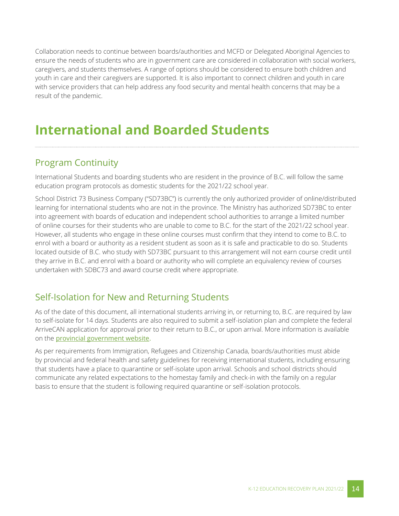Collaboration needs to continue between boards/authorities and MCFD or Delegated Aboriginal Agencies to ensure the needs of students who are in government care are considered in collaboration with social workers, caregivers, and students themselves. A range of options should be considered to ensure both children and youth in care and their caregivers are supported. It is also important to connect children and youth in care with service providers that can help address any food security and mental health concerns that may be a result of the pandemic.

### <span id="page-14-0"></span>**International and Boarded Students**

#### <span id="page-14-1"></span>Program Continuity

International Students and boarding students who are resident in the province of B.C. will follow the same education program protocols as domestic students for the 2021/22 school year.

School District 73 Business Company ("SD73BC") is currently the only authorized provider of online/distributed learning for international students who are not in the province. The Ministry has authorized SD73BC to enter into agreement with boards of education and independent school authorities to arrange a limited number of online courses for their students who are unable to come to B.C. for the start of the 2021/22 school year. However, all students who engage in these online courses must confirm that they intend to come to B.C. to enrol with a board or authority as a resident student as soon as it is safe and practicable to do so. Students located outside of B.C. who study with SD73BC pursuant to this arrangement will not earn course credit until they arrive in B.C. and enrol with a board or authority who will complete an equivalency review of courses undertaken with SDBC73 and award course credit where appropriate.

#### <span id="page-14-2"></span>Self-Isolation for New and Returning Students

As of the date of this document, all international students arriving in, or returning to, B.C. are required by law to self-isolate for 14 days. Students are also required to submit a self-isolation plan and complete the federal ArriveCAN application for approval prior to their return to B.C., or upon arrival. More information is available on the [provincial government website.](https://www2.gov.bc.ca/gov/content/safety/emergency-preparedness-response-recovery/covid-19-provincial-support/self-isolation-on-return)

As per requirements from Immigration, Refugees and Citizenship Canada, boards/authorities must abide by provincial and federal health and safety guidelines for receiving international students, including ensuring that students have a place to quarantine or self-isolate upon arrival. Schools and school districts should communicate any related expectations to the homestay family and check-in with the family on a regular basis to ensure that the student is following required quarantine or self-isolation protocols.